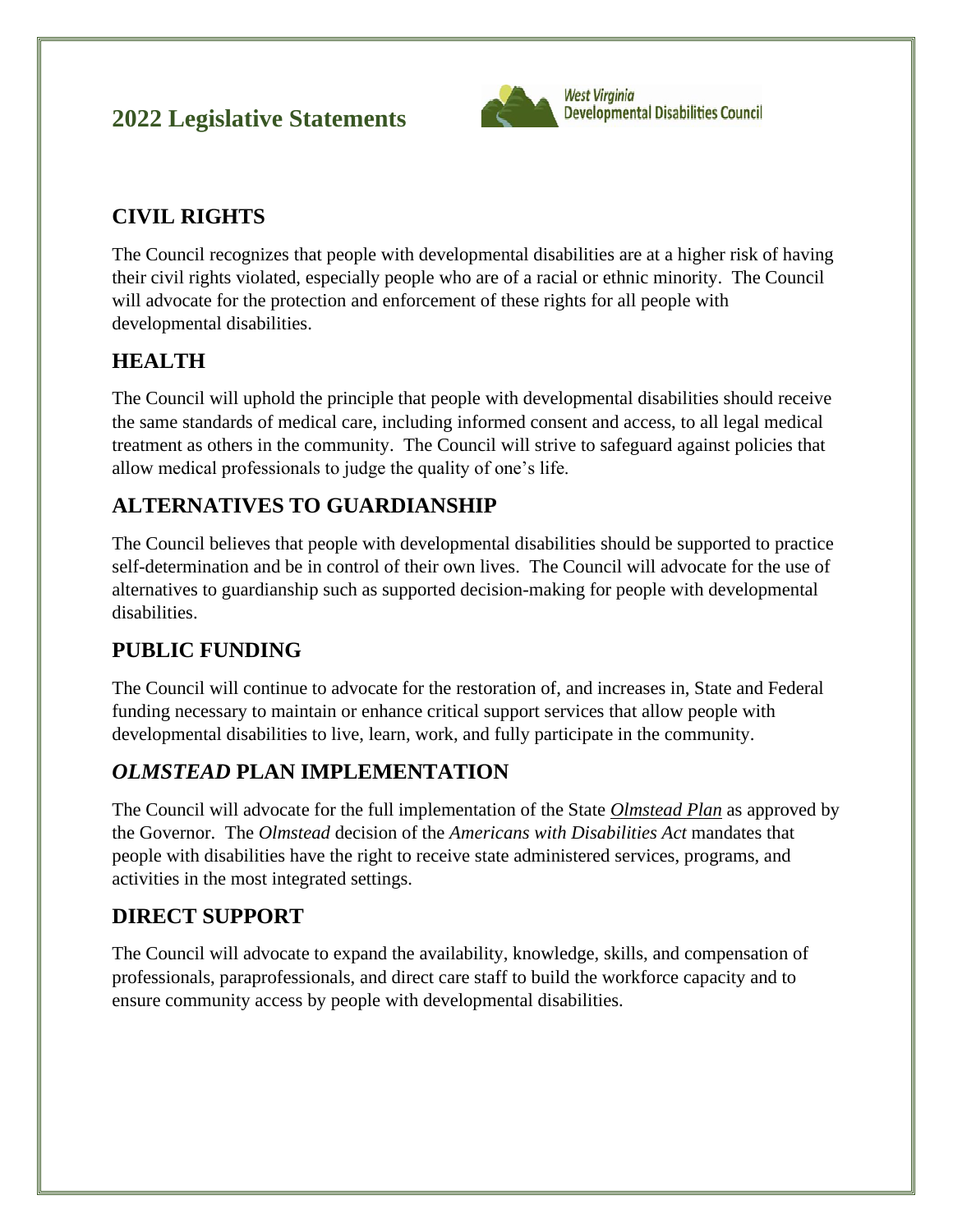# **2022 Legislative Statements**



# **CIVIL RIGHTS**

The Council recognizes that people with developmental disabilities are at a higher risk of having their civil rights violated, especially people who are of a racial or ethnic minority. The Council will advocate for the protection and enforcement of these rights for all people with developmental disabilities.

## **HEALTH**

The Council will uphold the principle that people with developmental disabilities should receive the same standards of medical care, including informed consent and access, to all legal medical treatment as others in the community. The Council will strive to safeguard against policies that allow medical professionals to judge the quality of one's life.

## **ALTERNATIVES TO GUARDIANSHIP**

The Council believes that people with developmental disabilities should be supported to practice self-determination and be in control of their own lives. The Council will advocate for the use of alternatives to guardianship such as supported decision-making for people with developmental disabilities.

### **PUBLIC FUNDING**

The Council will continue to advocate for the restoration of, and increases in, State and Federal funding necessary to maintain or enhance critical support services that allow people with developmental disabilities to live, learn, work, and fully participate in the community.

### *OLMSTEAD* **PLAN IMPLEMENTATION**

The Council will advocate for the full implementation of the State *Olmstead Plan* as approved by the Governor. The *Olmstead* decision of the *Americans with Disabilities Act* mandates that people with disabilities have the right to receive state administered services, programs, and activities in the most integrated settings.

### **DIRECT SUPPORT**

The Council will advocate to expand the availability, knowledge, skills, and compensation of professionals, paraprofessionals, and direct care staff to build the workforce capacity and to ensure community access by people with developmental disabilities.